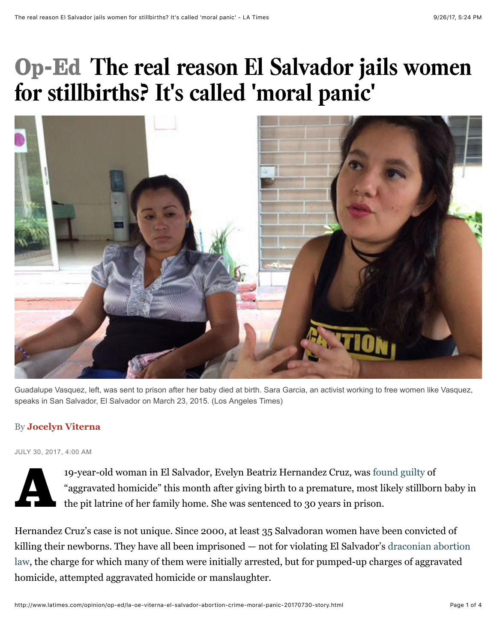## Op-Ed **The real reason El Salvador jails women for stillbirths? It's called 'moral panic'**



Guadalupe Vasquez, left, was sent to prison after her baby died at birth. Sara Garcia, an activist working to free women like Vasquez, speaks in San Salvador, El Salvador on March 23, 2015. (Los Angeles Times)

### By **Jocelyn Viterna**

JULY 30, 2017, 4:00 AM



19-year-old woman in El Salvador, Evelyn Beatriz Hernandez Cruz, was [found guilty](https://www.theguardian.com/global-development/2017/jul/06/el-salvador-teen-rape-victim-sentenced-30-years-prison-stillbirth) of "aggravated homicide" this month after giving birth to a premature, most likely stillborn baby in the pit latrine of her family home. She was sentenced to 30 years in prison.

Hernandez Cruz's case is not unique. Since 2000, at least 35 Salvadoran women have been convicted of [killing their newborns. They have all been imprisoned — not for violating El Salvador's draconian abortion](http://www.latimes.com/opinion/op-ed/la-oe-urquilla-el-salvador-abortion-20170530-story.html) law, the charge for which many of them were initially arrested, but for pumped-up charges of aggravated homicide, attempted aggravated homicide or manslaughter.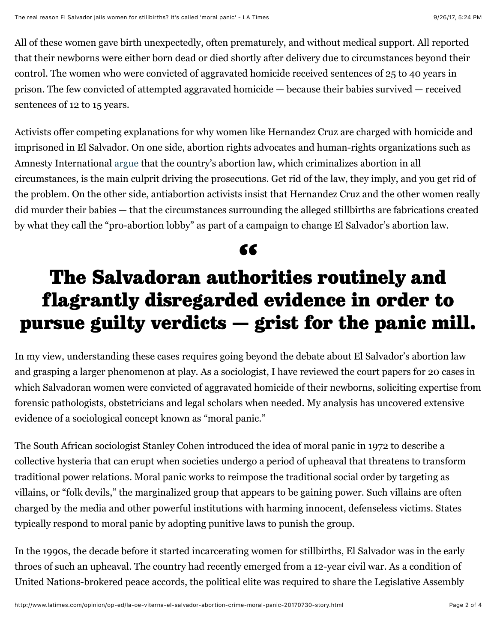All of these women gave birth unexpectedly, often prematurely, and without medical support. All reported that their newborns were either born dead or died shortly after delivery due to circumstances beyond their control. The women who were convicted of aggravated homicide received sentences of 25 to 40 years in prison. The few convicted of attempted aggravated homicide — because their babies survived — received sentences of 12 to 15 years.

Activists offer competing explanations for why women like Hernandez Cruz are charged with homicide and imprisoned in El Salvador. On one side, abortion rights advocates and human-rights organizations such as Amnesty International [argue](https://www.amnesty.org/en/latest/news/2017/07/el-salvador-rape-survivor-sentenced-to-30-years-in-jail-under-extreme-anti-abortion-law/) that the country's abortion law, which criminalizes abortion in all circumstances, is the main culprit driving the prosecutions. Get rid of the law, they imply, and you get rid of the problem. On the other side, antiabortion activists insist that Hernandez Cruz and the other women really did murder their babies — that the circumstances surrounding the alleged stillbirths are fabrications created by what they call the "pro-abortion lobby" as part of a campaign to change El Salvador's abortion law.

# 66<br>ba

### The Salvadoran authorities routinely and flagrantly disregarded evidence in order to pursue guilty verdicts — grist for the panic mill.

In my view, understanding these cases requires going beyond the debate about El Salvador's abortion law and grasping a larger phenomenon at play. As a sociologist, I have reviewed the court papers for 20 cases in which Salvadoran women were convicted of aggravated homicide of their newborns, soliciting expertise from forensic pathologists, obstetricians and legal scholars when needed. My analysis has uncovered extensive evidence of a sociological concept known as "moral panic."

The South African sociologist Stanley Cohen introduced the idea of moral panic in 1972 to describe a collective hysteria that can erupt when societies undergo a period of upheaval that threatens to transform traditional power relations. Moral panic works to reimpose the traditional social order by targeting as villains, or "folk devils," the marginalized group that appears to be gaining power. Such villains are often charged by the media and other powerful institutions with harming innocent, defenseless victims. States typically respond to moral panic by adopting punitive laws to punish the group.

In the 1990s, the decade before it started incarcerating women for stillbirths, El Salvador was in the early throes of such an upheaval. The country had recently emerged from a 12-year civil war. As a condition of United Nations-brokered peace accords, the political elite was required to share the Legislative Assembly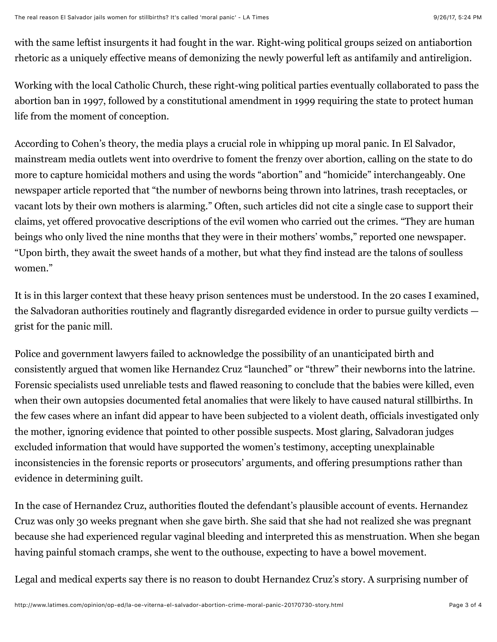with the same leftist insurgents it had fought in the war. Right-wing political groups seized on antiabortion rhetoric as a uniquely effective means of demonizing the newly powerful left as antifamily and antireligion.

Working with the local Catholic Church, these right-wing political parties eventually collaborated to pass the abortion ban in 1997, followed by a constitutional amendment in 1999 requiring the state to protect human life from the moment of conception.

According to Cohen's theory, the media plays a crucial role in whipping up moral panic. In El Salvador, mainstream media outlets went into overdrive to foment the frenzy over abortion, calling on the state to do more to capture homicidal mothers and using the words "abortion" and "homicide" interchangeably. One newspaper article reported that "the number of newborns being thrown into latrines, trash receptacles, or vacant lots by their own mothers is alarming." Often, such articles did not cite a single case to support their claims, yet offered provocative descriptions of the evil women who carried out the crimes. "They are human beings who only lived the nine months that they were in their mothers' wombs," reported one newspaper. "Upon birth, they await the sweet hands of a mother, but what they find instead are the talons of soulless women."

It is in this larger context that these heavy prison sentences must be understood. In the 20 cases I examined, the Salvadoran authorities routinely and flagrantly disregarded evidence in order to pursue guilty verdicts grist for the panic mill.

Police and government lawyers failed to acknowledge the possibility of an unanticipated birth and consistently argued that women like Hernandez Cruz "launched" or "threw" their newborns into the latrine. Forensic specialists used unreliable tests and flawed reasoning to conclude that the babies were killed, even when their own autopsies documented fetal anomalies that were likely to have caused natural stillbirths. In the few cases where an infant did appear to have been subjected to a violent death, officials investigated only the mother, ignoring evidence that pointed to other possible suspects. Most glaring, Salvadoran judges excluded information that would have supported the women's testimony, accepting unexplainable inconsistencies in the forensic reports or prosecutors' arguments, and offering presumptions rather than evidence in determining guilt.

In the case of Hernandez Cruz, authorities flouted the defendant's plausible account of events. Hernandez Cruz was only 30 weeks pregnant when she gave birth. She said that she had not realized she was pregnant because she had experienced regular vaginal bleeding and interpreted this as menstruation. When she began having painful stomach cramps, she went to the outhouse, expecting to have a bowel movement.

Legal and medical experts say there is no reason to doubt Hernandez Cruz's story. A surprising number of